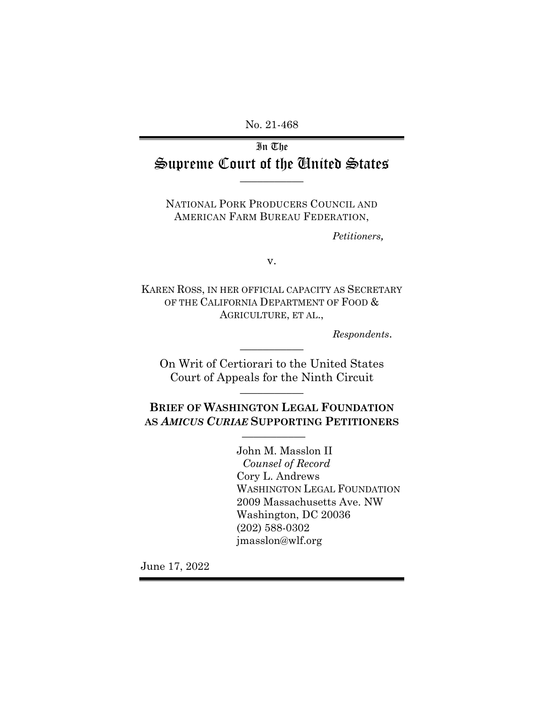No. 21-468

# In The Supreme Court of the United States **\_\_\_\_\_\_\_\_\_\_\_**

NATIONAL PORK PRODUCERS COUNCIL AND AMERICAN FARM BUREAU FEDERATION,

*Petitioners,*

v.

KAREN ROSS, IN HER OFFICIAL CAPACITY AS SECRETARY OF THE CALIFORNIA DEPARTMENT OF FOOD  $\&$ AGRICULTURE, ET AL.,

*Respondents*.

On Writ of Certiorari to the United States Court of Appeals for the Ninth Circuit **\_\_\_\_\_\_\_\_\_\_\_**

**\_\_\_\_\_\_\_\_\_\_\_**

**BRIEF OF WASHINGTON LEGAL FOUNDATION AS** *AMICUS CURIAE* **SUPPORTING PETITIONERS \_\_\_\_\_\_\_\_\_\_\_**

> John M. Masslon II *Counsel of Record*  Cory L. Andrews WASHINGTON LEGAL FOUNDATION 2009 Massachusetts Ave. NW Washington, DC 20036 (202) 588-0302 jmasslon@wlf.org

June 17, 2022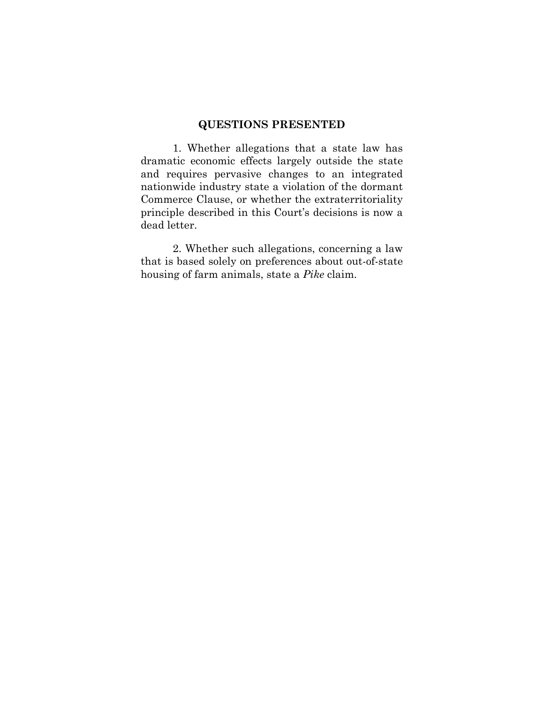### **QUESTIONS PRESENTED**

1. Whether allegations that a state law has dramatic economic effects largely outside the state and requires pervasive changes to an integrated nationwide industry state a violation of the dormant Commerce Clause, or whether the extraterritoriality principle described in this Court's decisions is now a dead letter.

2. Whether such allegations, concerning a law that is based solely on preferences about out-of-state housing of farm animals, state a *Pike* claim.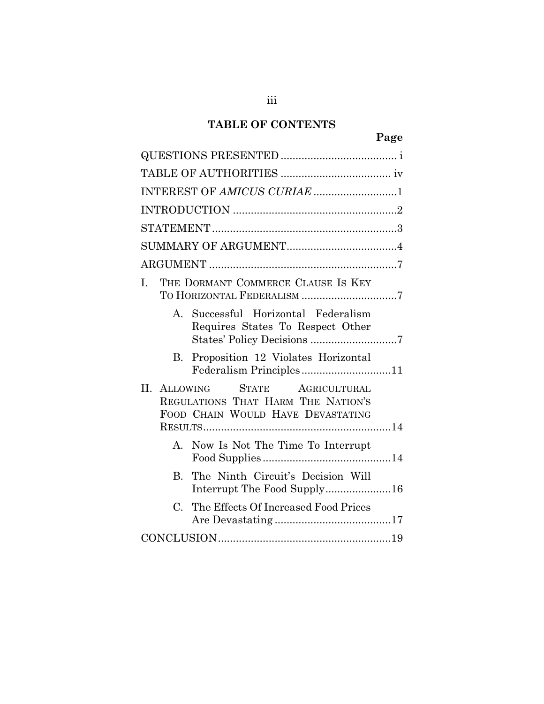## **TABLE OF CONTENTS**

iii

|--|

| INTEREST OF AMICUS CURIAE 1                                                                                        |  |
|--------------------------------------------------------------------------------------------------------------------|--|
|                                                                                                                    |  |
|                                                                                                                    |  |
|                                                                                                                    |  |
|                                                                                                                    |  |
| THE DORMANT COMMERCE CLAUSE IS KEY<br>L.                                                                           |  |
| Successful Horizontal Federalism<br>$\mathbf{A}$<br>Requires States To Respect Other<br>States' Policy Decisions 7 |  |
| Proposition 12 Violates Horizontal<br>B.<br>Federalism Principles11                                                |  |
| II. ALLOWING<br>STATE AGRICULTURAL<br>REGULATIONS THAT HARM THE NATION'S<br>FOOD CHAIN WOULD HAVE DEVASTATING      |  |
| A. Now Is Not The Time To Interrupt                                                                                |  |
| The Ninth Circuit's Decision Will<br>$B_{-}$<br>Interrupt The Food Supply16                                        |  |
| $C_{\cdot}$<br>The Effects Of Increased Food Prices                                                                |  |
|                                                                                                                    |  |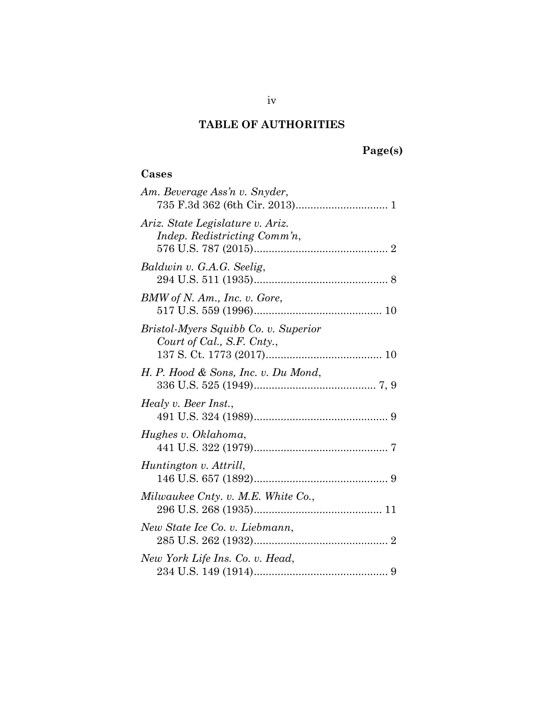# **Page(s)**

## **Cases**

| Am. Beverage Ass'n v. Snyder,                                      |
|--------------------------------------------------------------------|
| Ariz. State Legislature v. Ariz.<br>Indep. Redistricting Comm'n,   |
| Baldwin v. G.A.G. Seelig,                                          |
| BMW of N. Am., Inc. v. Gore,                                       |
| Bristol-Myers Squibb Co. v. Superior<br>Court of Cal., S.F. Cnty., |
| H. P. Hood & Sons, Inc. v. Du Mond,                                |
| Healy v. Beer Inst.,                                               |
| Hughes v. Oklahoma,                                                |
| Huntington v. Attrill,                                             |
| Milwaukee Cnty. v. M.E. White Co.,                                 |
| New State Ice Co. v. Liebmann,                                     |
| New York Life Ins. Co. v. Head,                                    |
|                                                                    |

iv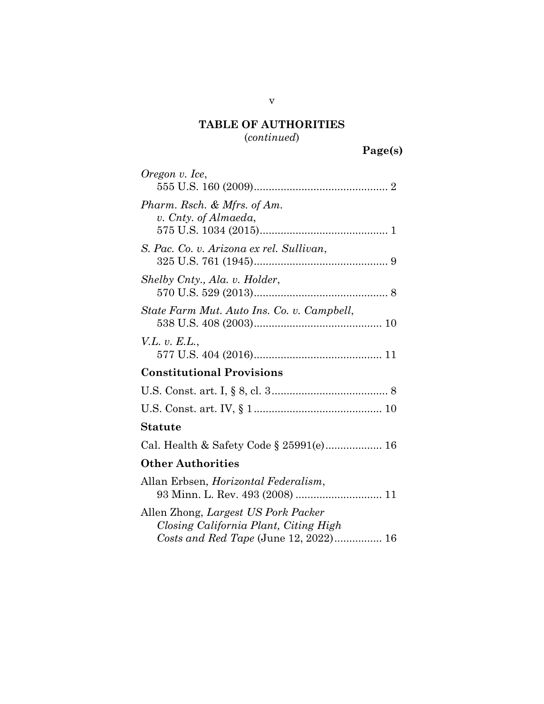(*continued*)

| Oregon v. Ice,                                                                  |
|---------------------------------------------------------------------------------|
| Pharm. Rsch. & Mfrs. of Am.                                                     |
| v. Cnty. of Almaeda,                                                            |
| S. Pac. Co. v. Arizona ex rel. Sullivan,                                        |
|                                                                                 |
| Shelby Cnty., Ala. v. Holder,                                                   |
| State Farm Mut. Auto Ins. Co. v. Campbell,                                      |
|                                                                                 |
| V.L. v. E.L.,                                                                   |
|                                                                                 |
| <b>Constitutional Provisions</b>                                                |
|                                                                                 |
|                                                                                 |
| <b>Statute</b>                                                                  |
| Cal. Health & Safety Code § 25991(e) 16                                         |
| <b>Other Authorities</b>                                                        |
| Allan Erbsen, <i>Horizontal Federalism</i> ,<br>93 Minn. L. Rev. 493 (2008)  11 |
| Allen Zhong, Largest US Pork Packer                                             |
| Closing California Plant, Citing High                                           |
| Costs and Red Tape (June 12, 2022) 16                                           |

v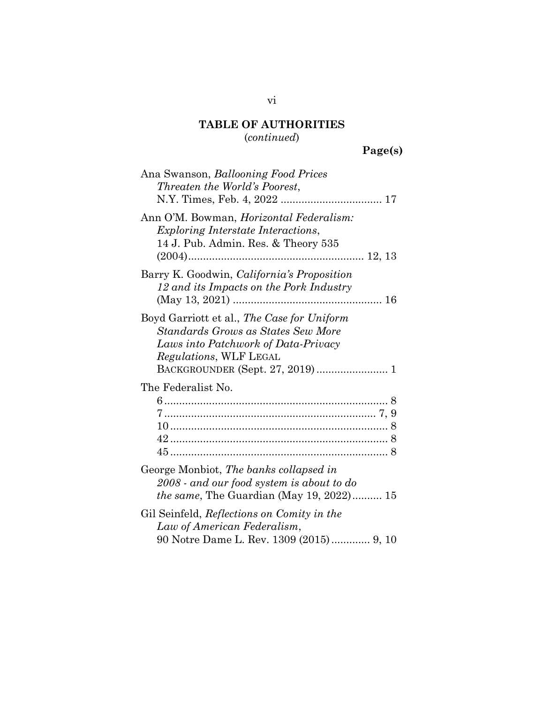## (*continued*)

# **Page(s)**

| Ana Swanson, Ballooning Food Prices<br>Threaten the World's Poorest,                                                                                                                          |
|-----------------------------------------------------------------------------------------------------------------------------------------------------------------------------------------------|
| Ann O'M. Bowman, <i>Horizontal Federalism</i> :<br><i>Exploring Interstate Interactions,</i><br>14 J. Pub. Admin. Res. & Theory 535                                                           |
| Barry K. Goodwin, <i>California's Proposition</i><br>12 and its Impacts on the Pork Industry                                                                                                  |
| Boyd Garriott et al., The Case for Uniform<br>Standards Grows as States Sew More<br>Laws into Patchwork of Data-Privacy<br><i>Regulations</i> , WLF LEGAL<br>BACKGROUNDER (Sept. 27, 2019)  1 |
| The Federalist No.                                                                                                                                                                            |
| George Monbiot, The banks collapsed in<br>2008 - and our food system is about to do<br><i>the same</i> , The Guardian (May 19, 2022) 15                                                       |
| Gil Seinfeld, Reflections on Comity in the<br>Law of American Federalism,<br>90 Notre Dame L. Rev. 1309 (2015) 9, 10                                                                          |

vi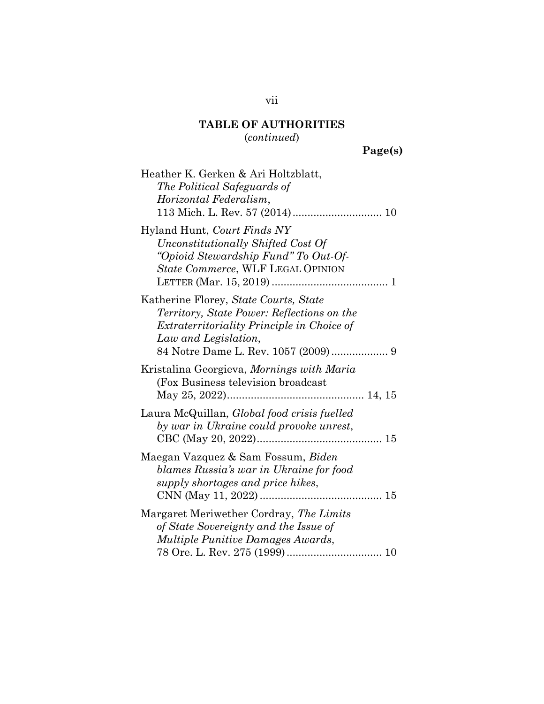(*continued*)

**Page(s)**

| Heather K. Gerken & Ari Holtzblatt,<br>The Political Safeguards of<br>Horizontal Federalism,                                                                     |
|------------------------------------------------------------------------------------------------------------------------------------------------------------------|
| Hyland Hunt, Court Finds NY<br>Unconstitutionally Shifted Cost Of<br>"Opioid Stewardship Fund" To Out-Of-<br>State Commerce, WLF LEGAL OPINION                   |
| Katherine Florey, State Courts, State<br>Territory, State Power: Reflections on the<br><i>Extraterritoriality Principle in Choice of</i><br>Law and Legislation, |
| Kristalina Georgieva, Mornings with Maria<br>(Fox Business television broadcast)                                                                                 |
| Laura McQuillan, <i>Global food crisis fuelled</i><br>by war in Ukraine could provoke unrest,                                                                    |
| Maegan Vazquez & Sam Fossum, Biden<br>blames Russia's war in Ukraine for food<br>supply shortages and price hikes,                                               |
| Margaret Meriwether Cordray, The Limits<br>of State Sovereignty and the Issue of<br>Multiple Punitive Damages Awards,                                            |

vii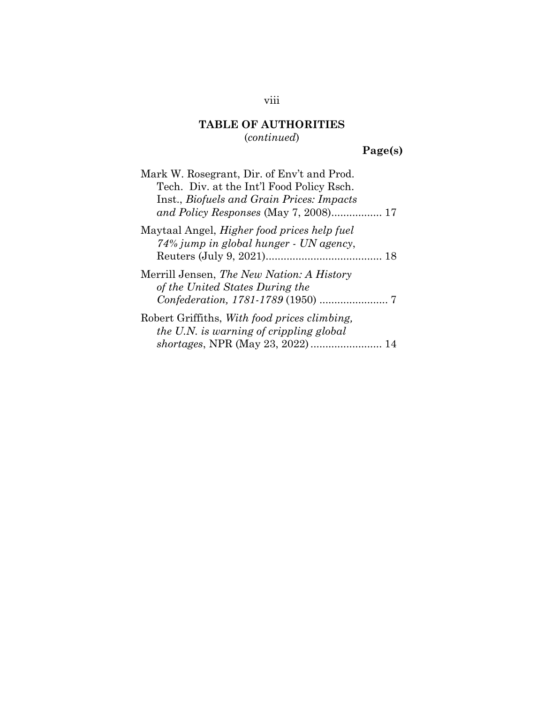# **TABLE OF AUTHORITIES** (*continued*)

# **Page(s)**

| Mark W. Rosegrant, Dir. of Env't and Prod.<br>Tech. Div. at the Int'l Food Policy Rsch.<br>Inst., Biofuels and Grain Prices: Impacts |
|--------------------------------------------------------------------------------------------------------------------------------------|
|                                                                                                                                      |
| Maytaal Angel, <i>Higher food prices help fuel</i><br>74% jump in global hunger - UN agency,                                         |
| Merrill Jensen, The New Nation: A History<br>of the United States During the                                                         |
| Robert Griffiths, With food prices climbing,<br>the U.N. is warning of crippling global<br>shortages, NPR (May 23, 2022)  14         |

## viii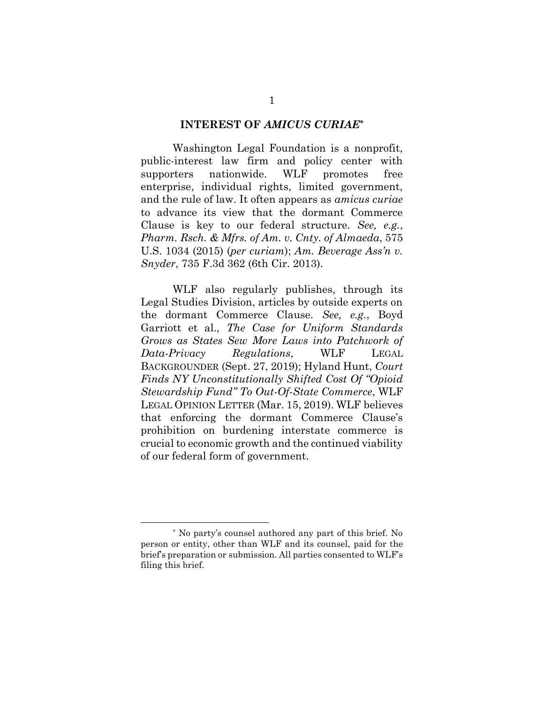#### **INTEREST OF** *AMICUS CURIAE***\***

Washington Legal Foundation is a nonprofit, public-interest law firm and policy center with supporters nationwide. WLF promotes free enterprise, individual rights, limited government, and the rule of law. It often appears as *amicus curiae* to advance its view that the dormant Commerce Clause is key to our federal structure. *See, e.g.*, *Pharm. Rsch. & Mfrs. of Am. v. Cnty. of Almaeda*, 575 U.S. 1034 (2015) (*per curiam*); *Am. Beverage Ass'n v. Snyder*, 735 F.3d 362 (6th Cir. 2013).

<span id="page-8-3"></span><span id="page-8-2"></span><span id="page-8-1"></span><span id="page-8-0"></span>WLF also regularly publishes, through its Legal Studies Division, articles by outside experts on the dormant Commerce Clause. *See, e.g.*, Boyd Garriott et al., *The Case for Uniform Standards Grows as States Sew More Laws into Patchwork of Data-Privacy Regulations*, WLF LEGAL BACKGROUNDER (Sept. 27, 2019); Hyland Hunt, *Court Finds NY Unconstitutionally Shifted Cost Of "Opioid Stewardship Fund" To Out-Of-State Commerce*, WLF LEGAL OPINION LETTER (Mar. 15, 2019). WLF believes that enforcing the dormant Commerce Clause's prohibition on burdening interstate commerce is crucial to economic growth and the continued viability of our federal form of government.

<sup>\*</sup> No party's counsel authored any part of this brief. No person or entity, other than WLF and its counsel, paid for the brief's preparation or submission. All parties consented to WLF's filing this brief.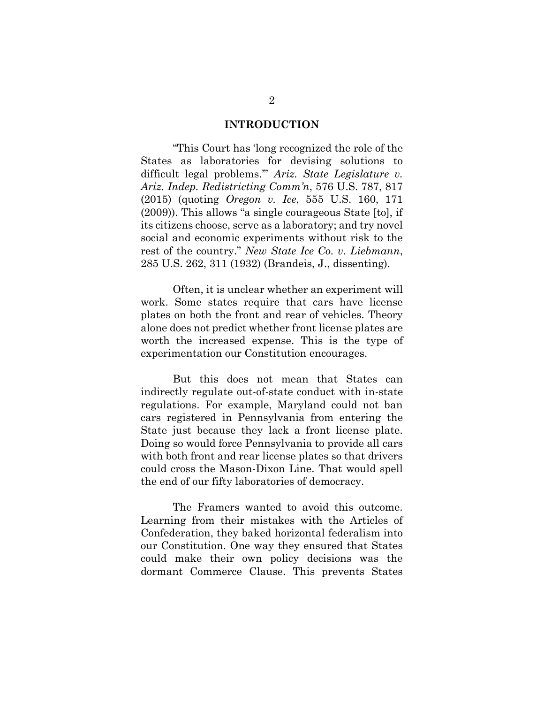#### <span id="page-9-2"></span><span id="page-9-0"></span>**INTRODUCTION**

"This Court has 'long recognized the role of the States as laboratories for devising solutions to difficult legal problems.'" *Ariz. State Legislature v. Ariz. Indep. Redistricting Comm'n*, 576 U.S. 787, 817 (2015) (quoting *Oregon v. Ice*, 555 U.S. 160, 171 (2009)). This allows "a single courageous State [to], if its citizens choose, serve as a laboratory; and try novel social and economic experiments without risk to the rest of the country." *New State Ice Co. v. Liebmann*, 285 U.S. 262, 311 (1932) (Brandeis, J., dissenting).

<span id="page-9-1"></span>Often, it is unclear whether an experiment will work. Some states require that cars have license plates on both the front and rear of vehicles. Theory alone does not predict whether front license plates are worth the increased expense. This is the type of experimentation our Constitution encourages.

But this does not mean that States can indirectly regulate out-of-state conduct with in-state regulations. For example, Maryland could not ban cars registered in Pennsylvania from entering the State just because they lack a front license plate. Doing so would force Pennsylvania to provide all cars with both front and rear license plates so that drivers could cross the Mason-Dixon Line. That would spell the end of our fifty laboratories of democracy.

The Framers wanted to avoid this outcome. Learning from their mistakes with the Articles of Confederation, they baked horizontal federalism into our Constitution. One way they ensured that States could make their own policy decisions was the dormant Commerce Clause. This prevents States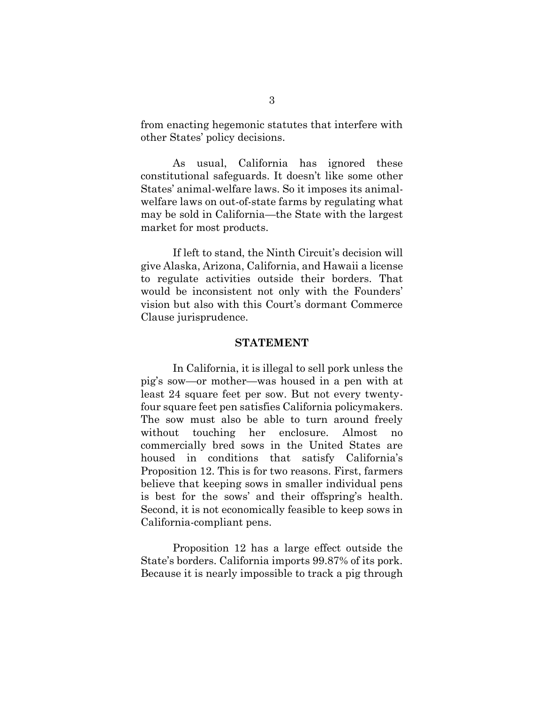from enacting hegemonic statutes that interfere with other States' policy decisions.

As usual, California has ignored these constitutional safeguards. It doesn't like some other States' animal-welfare laws. So it imposes its animalwelfare laws on out-of-state farms by regulating what may be sold in California—the State with the largest market for most products.

If left to stand, the Ninth Circuit's decision will give Alaska, Arizona, California, and Hawaii a license to regulate activities outside their borders. That would be inconsistent not only with the Founders' vision but also with this Court's dormant Commerce Clause jurisprudence.

#### **STATEMENT**

In California, it is illegal to sell pork unless the pig's sow—or mother—was housed in a pen with at least 24 square feet per sow. But not every twentyfour square feet pen satisfies California policymakers. The sow must also be able to turn around freely without touching her enclosure. Almost no commercially bred sows in the United States are housed in conditions that satisfy California's Proposition 12. This is for two reasons. First, farmers believe that keeping sows in smaller individual pens is best for the sows' and their offspring's health. Second, it is not economically feasible to keep sows in California-compliant pens.

Proposition 12 has a large effect outside the State's borders. California imports 99.87% of its pork. Because it is nearly impossible to track a pig through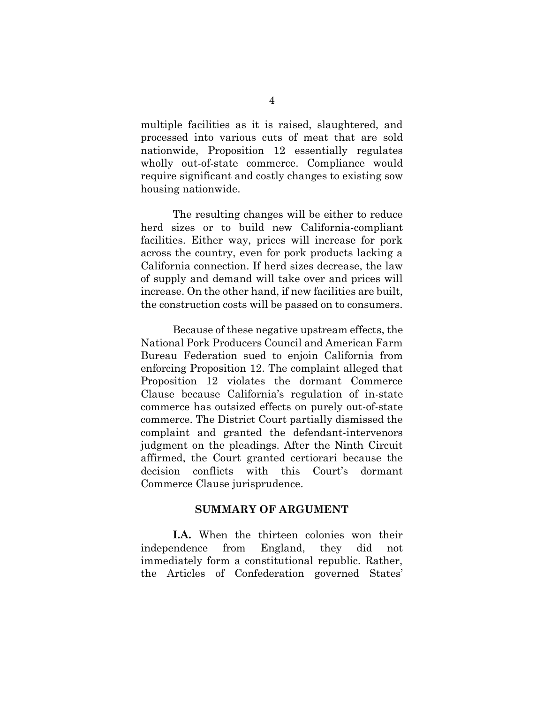multiple facilities as it is raised, slaughtered, and processed into various cuts of meat that are sold nationwide, Proposition 12 essentially regulates wholly out-of-state commerce. Compliance would require significant and costly changes to existing sow housing nationwide.

The resulting changes will be either to reduce herd sizes or to build new California-compliant facilities. Either way, prices will increase for pork across the country, even for pork products lacking a California connection. If herd sizes decrease, the law of supply and demand will take over and prices will increase. On the other hand, if new facilities are built, the construction costs will be passed on to consumers.

Because of these negative upstream effects, the National Pork Producers Council and American Farm Bureau Federation sued to enjoin California from enforcing Proposition 12. The complaint alleged that Proposition 12 violates the dormant Commerce Clause because California's regulation of in-state commerce has outsized effects on purely out-of-state commerce. The District Court partially dismissed the complaint and granted the defendant-intervenors judgment on the pleadings. After the Ninth Circuit affirmed, the Court granted certiorari because the decision conflicts with this Court's dormant Commerce Clause jurisprudence.

#### **SUMMARY OF ARGUMENT**

**I.A.** When the thirteen colonies won their independence from England, they did not immediately form a constitutional republic. Rather, the Articles of Confederation governed States'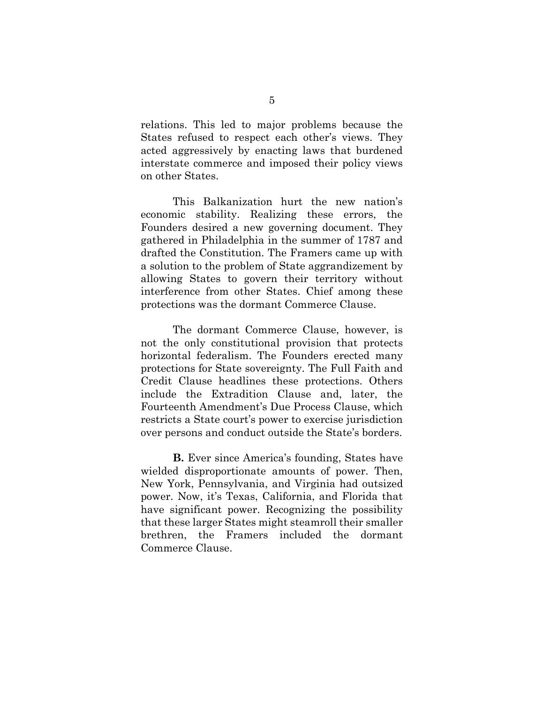relations. This led to major problems because the States refused to respect each other's views. They acted aggressively by enacting laws that burdened interstate commerce and imposed their policy views on other States.

This Balkanization hurt the new nation's economic stability. Realizing these errors, the Founders desired a new governing document. They gathered in Philadelphia in the summer of 1787 and drafted the Constitution. The Framers came up with a solution to the problem of State aggrandizement by allowing States to govern their territory without interference from other States. Chief among these protections was the dormant Commerce Clause.

The dormant Commerce Clause, however, is not the only constitutional provision that protects horizontal federalism. The Founders erected many protections for State sovereignty. The Full Faith and Credit Clause headlines these protections. Others include the Extradition Clause and, later, the Fourteenth Amendment's Due Process Clause, which restricts a State court's power to exercise jurisdiction over persons and conduct outside the State's borders.

**B.** Ever since America's founding, States have wielded disproportionate amounts of power. Then, New York, Pennsylvania, and Virginia had outsized power. Now, it's Texas, California, and Florida that have significant power. Recognizing the possibility that these larger States might steamroll their smaller brethren, the Framers included the dormant Commerce Clause.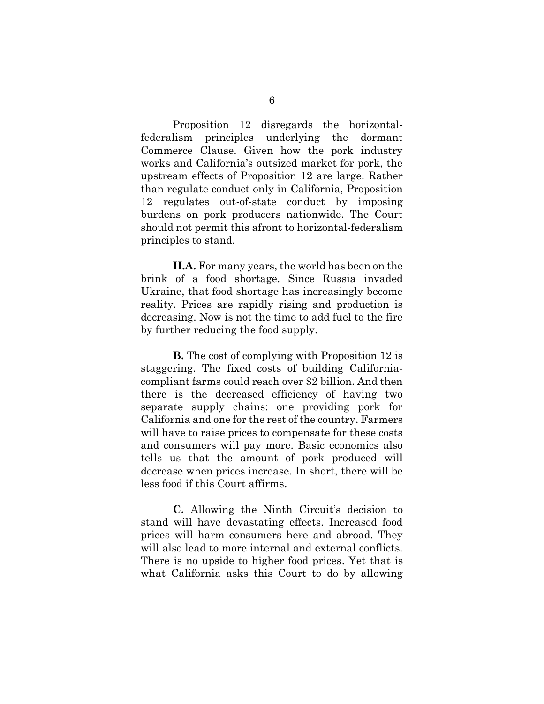Proposition 12 disregards the horizontalfederalism principles underlying the dormant Commerce Clause. Given how the pork industry works and California's outsized market for pork, the upstream effects of Proposition 12 are large. Rather than regulate conduct only in California, Proposition 12 regulates out-of-state conduct by imposing burdens on pork producers nationwide. The Court should not permit this afront to horizontal-federalism principles to stand.

**II.A.** For many years, the world has been on the brink of a food shortage. Since Russia invaded Ukraine, that food shortage has increasingly become reality. Prices are rapidly rising and production is decreasing. Now is not the time to add fuel to the fire by further reducing the food supply.

**B.** The cost of complying with Proposition 12 is staggering. The fixed costs of building Californiacompliant farms could reach over \$2 billion. And then there is the decreased efficiency of having two separate supply chains: one providing pork for California and one for the rest of the country. Farmers will have to raise prices to compensate for these costs and consumers will pay more. Basic economics also tells us that the amount of pork produced will decrease when prices increase. In short, there will be less food if this Court affirms.

**C.** Allowing the Ninth Circuit's decision to stand will have devastating effects. Increased food prices will harm consumers here and abroad. They will also lead to more internal and external conflicts. There is no upside to higher food prices. Yet that is what California asks this Court to do by allowing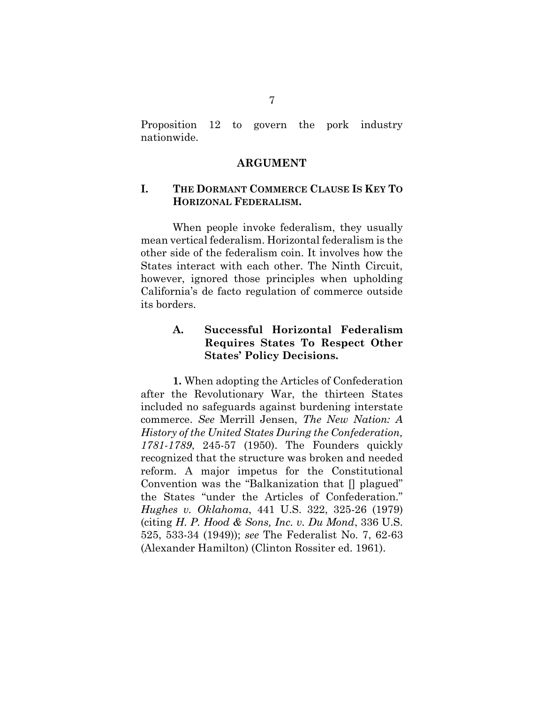Proposition 12 to govern the pork industry nationwide.

#### **ARGUMENT**

### **I. THE DORMANT COMMERCE CLAUSE IS KEY TO HORIZONAL FEDERALISM.**

When people invoke federalism, they usually mean vertical federalism. Horizontal federalism is the other side of the federalism coin. It involves how the States interact with each other. The Ninth Circuit, however, ignored those principles when upholding California's de facto regulation of commerce outside its borders.

## **A. Successful Horizontal Federalism Requires States To Respect Other States' Policy Decisions.**

<span id="page-14-2"></span><span id="page-14-1"></span><span id="page-14-0"></span>**1.** When adopting the Articles of Confederation after the Revolutionary War, the thirteen States included no safeguards against burdening interstate commerce. *See* Merrill Jensen, *The New Nation: A History of the United States During the Confederation, 1781-1789*, 245-57 (1950). The Founders quickly recognized that the structure was broken and needed reform. A major impetus for the Constitutional Convention was the "Balkanization that [] plagued" the States "under the Articles of Confederation." *Hughes v. Oklahoma*, 441 U.S. 322, 325-26 (1979) (citing *H. P. Hood & Sons, Inc. v. Du Mond*, 336 U.S. 525, 533-34 (1949)); *see* The Federalist No. 7, 62-63 (Alexander Hamilton) (Clinton Rossiter ed. 1961).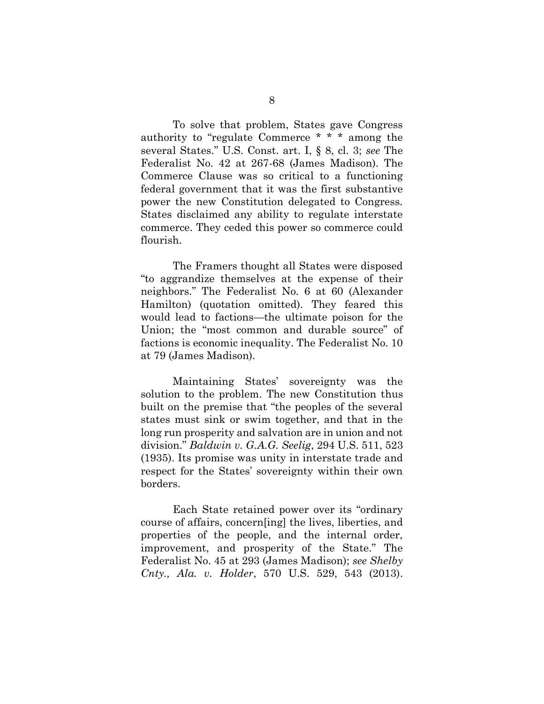<span id="page-15-4"></span><span id="page-15-2"></span>To solve that problem, States gave Congress authority to "regulate Commerce \* \* \* among the several States." U.S. Const. art. I, § 8, cl. 3; *see* The Federalist No. 42 at 267-68 (James Madison). The Commerce Clause was so critical to a functioning federal government that it was the first substantive power the new Constitution delegated to Congress. States disclaimed any ability to regulate interstate commerce. They ceded this power so commerce could flourish.

<span id="page-15-6"></span>The Framers thought all States were disposed "to aggrandize themselves at the expense of their neighbors." The Federalist No. 6 at 60 (Alexander Hamilton) (quotation omitted). They feared this would lead to factions—the ultimate poison for the Union; the "most common and durable source" of factions is economic inequality. The Federalist No. 10 at 79 (James Madison).

<span id="page-15-3"></span><span id="page-15-0"></span>Maintaining States' sovereignty was the solution to the problem. The new Constitution thus built on the premise that "the peoples of the several states must sink or swim together, and that in the long run prosperity and salvation are in union and not division." *Baldwin v. G.A.G. Seelig*, 294 U.S. 511, 523 (1935). Its promise was unity in interstate trade and respect for the States' sovereignty within their own borders.

<span id="page-15-5"></span><span id="page-15-1"></span>Each State retained power over its "ordinary course of affairs, concern[ing] the lives, liberties, and properties of the people, and the internal order, improvement, and prosperity of the State." The Federalist No. 45 at 293 (James Madison); *see Shelby Cnty., Ala. v. Holder*, 570 U.S. 529, 543 (2013).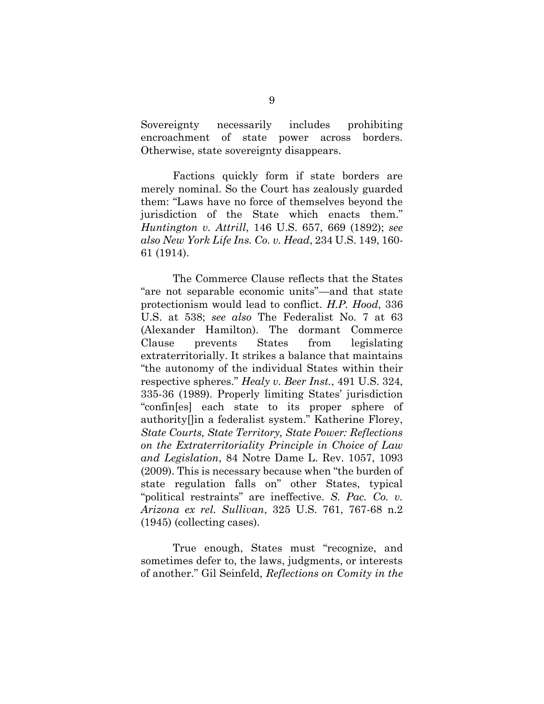Sovereignty necessarily includes prohibiting encroachment of state power across borders. Otherwise, state sovereignty disappears.

<span id="page-16-2"></span>Factions quickly form if state borders are merely nominal. So the Court has zealously guarded them: "Laws have no force of themselves beyond the jurisdiction of the State which enacts them." *Huntington v. Attrill*, 146 U.S. 657, 669 (1892); *see also New York Life Ins. Co. v. Head*, 234 U.S. 149, 160- 61 (1914).

<span id="page-16-3"></span><span id="page-16-1"></span><span id="page-16-0"></span>The Commerce Clause reflects that the States "are not separable economic units"—and that state protectionism would lead to conflict. *H.P. Hood*, 336 U.S. at 538; *see also* The Federalist No. 7 at 63 (Alexander Hamilton). The dormant Commerce Clause prevents States from legislating extraterritorially. It strikes a balance that maintains "the autonomy of the individual States within their respective spheres." *Healy v. Beer Inst.*, 491 U.S. 324, 335-36 (1989). Properly limiting States' jurisdiction "confin[es] each state to its proper sphere of authority[]in a federalist system." Katherine Florey, *State Courts, State Territory, State Power: Reflections on the Extraterritoriality Principle in Choice of Law and Legislation*, 84 Notre Dame L. Rev. 1057, 1093 (2009). This is necessary because when "the burden of state regulation falls on" other States, typical "political restraints" are ineffective. *S. Pac. Co. v. Arizona ex rel. Sullivan*, 325 U.S. 761, 767-68 n.2 (1945) (collecting cases).

<span id="page-16-6"></span><span id="page-16-5"></span><span id="page-16-4"></span>True enough, States must "recognize, and sometimes defer to, the laws, judgments, or interests of another." Gil Seinfeld, *Reflections on Comity in the*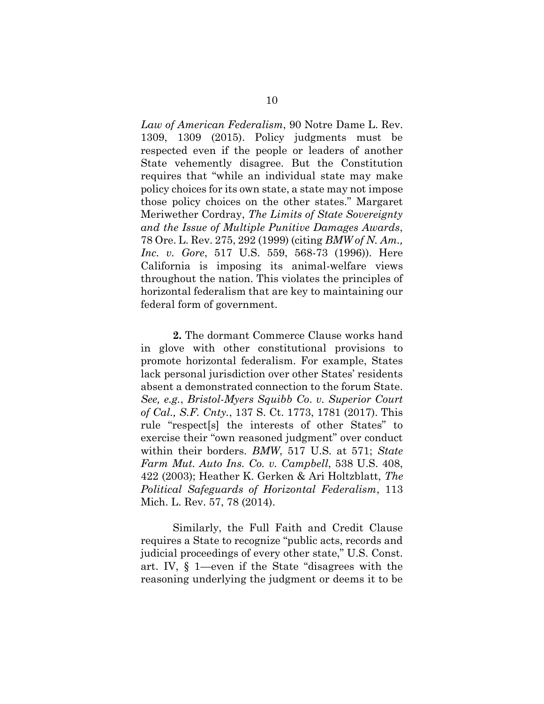<span id="page-17-5"></span>*Law of American Federalism*, 90 Notre Dame L. Rev. 1309, 1309 (2015). Policy judgments must be respected even if the people or leaders of another State vehemently disagree. But the Constitution requires that "while an individual state may make policy choices for its own state, a state may not impose those policy choices on the other states." Margaret Meriwether Cordray, *The Limits of State Sovereignty and the Issue of Multiple Punitive Damages Awards*, 78 Ore. L. Rev. 275, 292 (1999) (citing *BMW of N. Am., Inc. v. Gore*, 517 U.S. 559, 568-73 (1996)). Here California is imposing its animal-welfare views throughout the nation. This violates the principles of horizontal federalism that are key to maintaining our federal form of government.

<span id="page-17-1"></span><span id="page-17-0"></span>**2.** The dormant Commerce Clause works hand in glove with other constitutional provisions to promote horizontal federalism. For example, States lack personal jurisdiction over other States' residents absent a demonstrated connection to the forum State. *See, e.g.*, *Bristol-Myers Squibb Co*. *v. Superior Court of Cal., S.F. Cnty.*, 137 S. Ct. 1773, 1781 (2017). This rule "respect[s] the interests of other States" to exercise their "own reasoned judgment" over conduct within their borders. *BMW*, 517 U.S. at 571; *State Farm Mut. Auto Ins. Co. v. Campbell*, 538 U.S. 408, 422 (2003); Heather K. Gerken & Ari Holtzblatt, *The Political Safeguards of Horizontal Federalism*, 113 Mich. L. Rev. 57, 78 (2014).

<span id="page-17-4"></span><span id="page-17-3"></span><span id="page-17-2"></span>Similarly, the Full Faith and Credit Clause requires a State to recognize "public acts, records and judicial proceedings of every other state," U.S. Const. art. IV, § 1—even if the State "disagrees with the reasoning underlying the judgment or deems it to be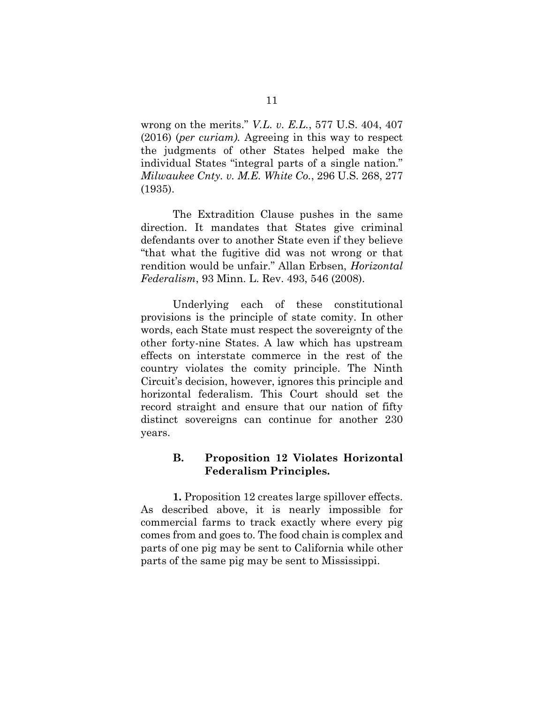<span id="page-18-1"></span>wrong on the merits." *V.L. v. E.L.*, 577 U.S. 404, 407 (2016) (*per curiam).* Agreeing in this way to respect the judgments of other States helped make the individual States "integral parts of a single nation." *Milwaukee Cnty. v. M.E. White Co.*, 296 U.S. 268, 277 (1935).

<span id="page-18-0"></span>The Extradition Clause pushes in the same direction. It mandates that States give criminal defendants over to another State even if they believe "that what the fugitive did was not wrong or that rendition would be unfair." Allan Erbsen, *Horizontal Federalism*, 93 Minn. L. Rev. 493, 546 (2008).

<span id="page-18-2"></span>Underlying each of these constitutional provisions is the principle of state comity. In other words, each State must respect the sovereignty of the other forty-nine States. A law which has upstream effects on interstate commerce in the rest of the country violates the comity principle. The Ninth Circuit's decision, however, ignores this principle and horizontal federalism. This Court should set the record straight and ensure that our nation of fifty distinct sovereigns can continue for another 230 years.

### **B. Proposition 12 Violates Horizontal Federalism Principles.**

**1.** Proposition 12 creates large spillover effects. As described above, it is nearly impossible for commercial farms to track exactly where every pig comes from and goes to. The food chain is complex and parts of one pig may be sent to California while other parts of the same pig may be sent to Mississippi.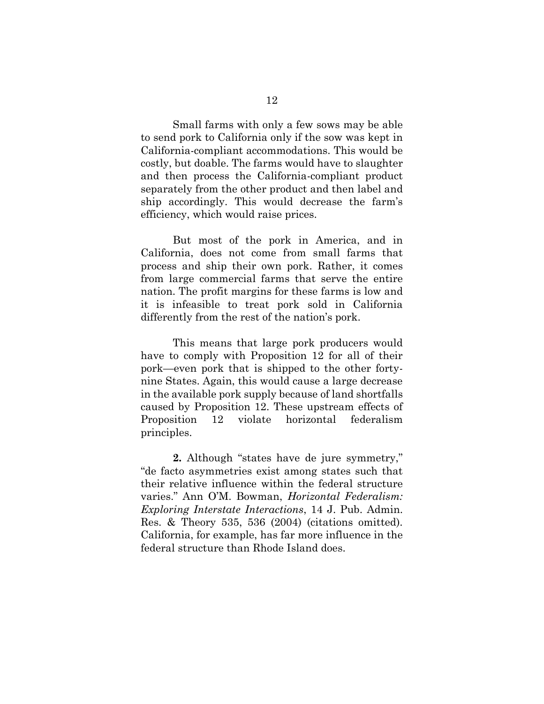Small farms with only a few sows may be able to send pork to California only if the sow was kept in California-compliant accommodations. This would be costly, but doable. The farms would have to slaughter and then process the California-compliant product separately from the other product and then label and ship accordingly. This would decrease the farm's efficiency, which would raise prices.

But most of the pork in America, and in California, does not come from small farms that process and ship their own pork. Rather, it comes from large commercial farms that serve the entire nation. The profit margins for these farms is low and it is infeasible to treat pork sold in California differently from the rest of the nation's pork.

This means that large pork producers would have to comply with Proposition 12 for all of their pork—even pork that is shipped to the other fortynine States. Again, this would cause a large decrease in the available pork supply because of land shortfalls caused by Proposition 12. These upstream effects of Proposition 12 violate horizontal federalism principles.

<span id="page-19-0"></span>**2.** Although "states have de jure symmetry," "de facto asymmetries exist among states such that their relative influence within the federal structure varies." Ann O'M. Bowman, *Horizontal Federalism: Exploring Interstate Interactions*, 14 J. Pub. Admin. Res. & Theory 535, 536 (2004) (citations omitted). California, for example, has far more influence in the federal structure than Rhode Island does.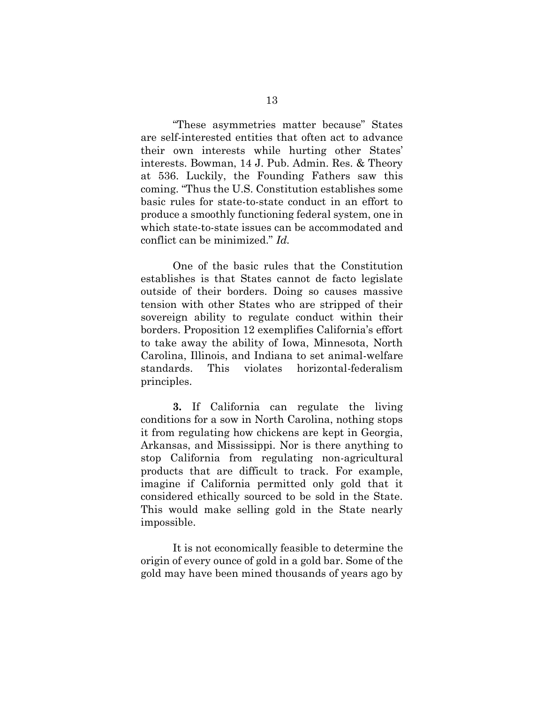<span id="page-20-0"></span>"These asymmetries matter because" States are self-interested entities that often act to advance their own interests while hurting other States' interests. Bowman, 14 J. Pub. Admin. Res. & Theory at 536. Luckily, the Founding Fathers saw this coming. "Thus the U.S. Constitution establishes some basic rules for state-to-state conduct in an effort to produce a smoothly functioning federal system, one in which state-to-state issues can be accommodated and conflict can be minimized." *Id.*

One of the basic rules that the Constitution establishes is that States cannot de facto legislate outside of their borders. Doing so causes massive tension with other States who are stripped of their sovereign ability to regulate conduct within their borders. Proposition 12 exemplifies California's effort to take away the ability of Iowa, Minnesota, North Carolina, Illinois, and Indiana to set animal-welfare standards. This violates horizontal-federalism principles.

**3.** If California can regulate the living conditions for a sow in North Carolina, nothing stops it from regulating how chickens are kept in Georgia, Arkansas, and Mississippi. Nor is there anything to stop California from regulating non-agricultural products that are difficult to track. For example, imagine if California permitted only gold that it considered ethically sourced to be sold in the State. This would make selling gold in the State nearly impossible.

It is not economically feasible to determine the origin of every ounce of gold in a gold bar. Some of the gold may have been mined thousands of years ago by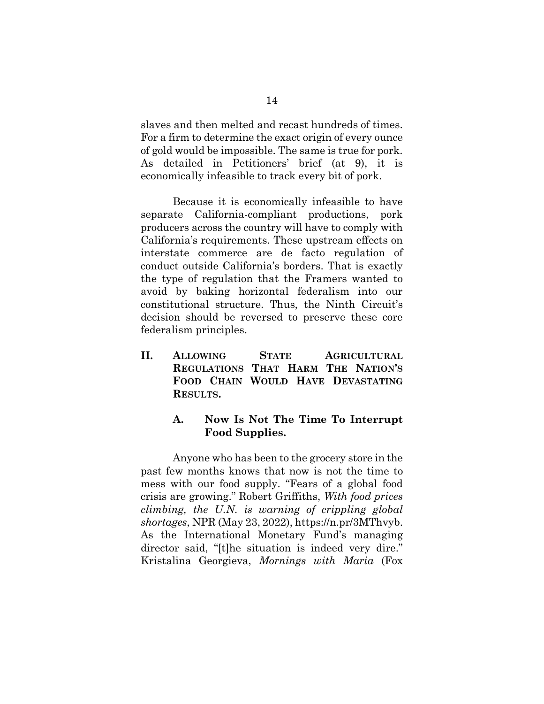slaves and then melted and recast hundreds of times. For a firm to determine the exact origin of every ounce of gold would be impossible. The same is true for pork. As detailed in Petitioners' brief (at 9), it is economically infeasible to track every bit of pork.

Because it is economically infeasible to have separate California-compliant productions, pork producers across the country will have to comply with California's requirements. These upstream effects on interstate commerce are de facto regulation of conduct outside California's borders. That is exactly the type of regulation that the Framers wanted to avoid by baking horizontal federalism into our constitutional structure. Thus, the Ninth Circuit's decision should be reversed to preserve these core federalism principles.

**II. ALLOWING STATE AGRICULTURAL REGULATIONS THAT HARM THE NATION'S FOOD CHAIN WOULD HAVE DEVASTATING RESULTS.**

### <span id="page-21-1"></span>**A. Now Is Not The Time To Interrupt Food Supplies.**

<span id="page-21-0"></span>Anyone who has been to the grocery store in the past few months knows that now is not the time to mess with our food supply. "Fears of a global food crisis are growing." Robert Griffiths, *With food prices climbing, the U.N. is warning of crippling global shortages*, NPR (May 23, 2022), https://n.pr/3MThvyb. As the International Monetary Fund's managing director said, "[t]he situation is indeed very dire." Kristalina Georgieva, *Mornings with Maria* (Fox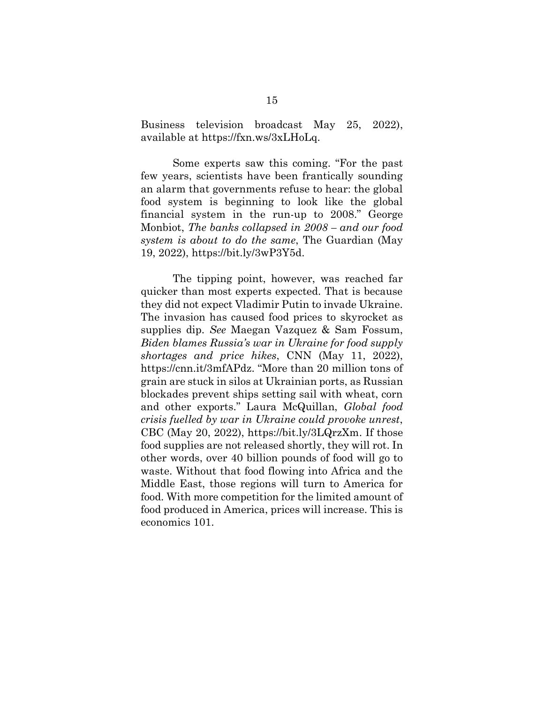Business television broadcast May 25, 2022), available at https://fxn.ws/3xLHoLq.

<span id="page-22-0"></span>Some experts saw this coming. "For the past few years, scientists have been frantically sounding an alarm that governments refuse to hear: the global food system is beginning to look like the global financial system in the run-up to 2008." George Monbiot, *The banks collapsed in 2008 – and our food system is about to do the same*, The Guardian (May 19, 2022), https://bit.ly/3wP3Y5d.

<span id="page-22-2"></span><span id="page-22-1"></span>The tipping point, however, was reached far quicker than most experts expected. That is because they did not expect Vladimir Putin to invade Ukraine. The invasion has caused food prices to skyrocket as supplies dip. *See* Maegan Vazquez & Sam Fossum, *Biden blames Russia's war in Ukraine for food supply shortages and price hikes*, CNN (May 11, 2022), https://cnn.it/3mfAPdz. "More than 20 million tons of grain are stuck in silos at Ukrainian ports, as Russian blockades prevent ships setting sail with wheat, corn and other exports." Laura McQuillan, *Global food crisis fuelled by war in Ukraine could provoke unrest*, CBC (May 20, 2022), https://bit.ly/3LQrzXm. If those food supplies are not released shortly, they will rot. In other words, over 40 billion pounds of food will go to waste. Without that food flowing into Africa and the Middle East, those regions will turn to America for food. With more competition for the limited amount of food produced in America, prices will increase. This is economics 101.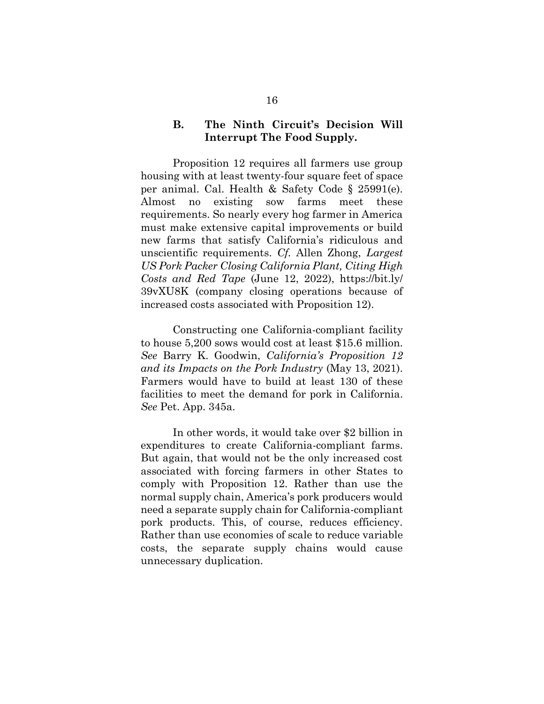### <span id="page-23-0"></span>**B. The Ninth Circuit's Decision Will Interrupt The Food Supply.**

Proposition 12 requires all farmers use group housing with at least twenty-four square feet of space per animal. Cal. Health & Safety Code § 25991(e). Almost no existing sow farms meet these requirements. So nearly every hog farmer in America must make extensive capital improvements or build new farms that satisfy California's ridiculous and unscientific requirements. *Cf.* Allen Zhong, *Largest US Pork Packer Closing California Plant, Citing High Costs and Red Tape* (June 12, 2022), https://bit.ly/ 39vXU8K (company closing operations because of increased costs associated with Proposition 12).

<span id="page-23-1"></span>Constructing one California-compliant facility to house 5,200 sows would cost at least \$15.6 million. *See* Barry K. Goodwin, *California's Proposition 12 and its Impacts on the Pork Industry* (May 13, 2021). Farmers would have to build at least 130 of these facilities to meet the demand for pork in California. *See* Pet. App. 345a.

In other words, it would take over \$2 billion in expenditures to create California-compliant farms. But again, that would not be the only increased cost associated with forcing farmers in other States to comply with Proposition 12. Rather than use the normal supply chain, America's pork producers would need a separate supply chain for California-compliant pork products. This, of course, reduces efficiency. Rather than use economies of scale to reduce variable costs, the separate supply chains would cause unnecessary duplication.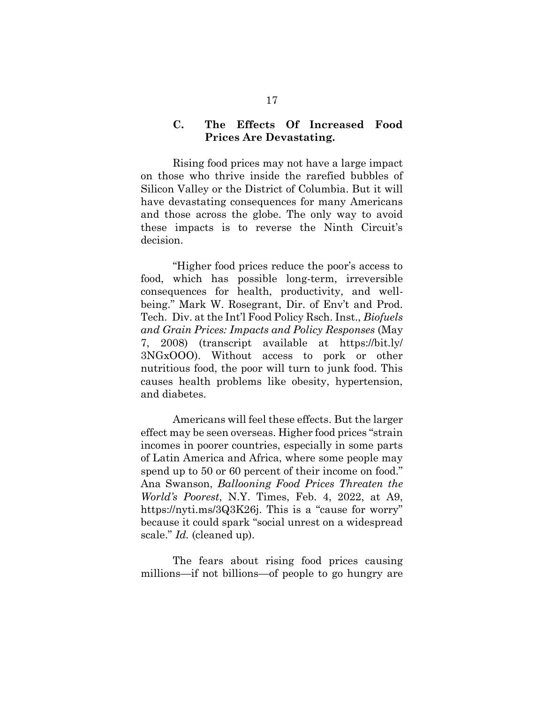### **C. The Effects Of Increased Food Prices Are Devastating.**

Rising food prices may not have a large impact on those who thrive inside the rarefied bubbles of Silicon Valley or the District of Columbia. But it will have devastating consequences for many Americans and those across the globe. The only way to avoid these impacts is to reverse the Ninth Circuit's decision.

<span id="page-24-1"></span>"Higher food prices reduce the poor's access to food, which has possible long-term, irreversible consequences for health, productivity, and wellbeing." Mark W. Rosegrant, Dir. of Env't and Prod. Tech. Div. at the Int'l Food Policy Rsch. Inst., *Biofuels and Grain Prices: Impacts and Policy Responses* (May 7, 2008) (transcript available at https://bit.ly/ 3NGxOOO). Without access to pork or other nutritious food, the poor will turn to junk food. This causes health problems like obesity, hypertension, and diabetes.

<span id="page-24-0"></span>Americans will feel these effects. But the larger effect may be seen overseas. Higher food prices "strain incomes in poorer countries, especially in some parts of Latin America and Africa, where some people may spend up to 50 or 60 percent of their income on food." Ana Swanson, *Ballooning Food Prices Threaten the World's Poorest*, N.Y. Times, Feb. 4, 2022, at A9, https://nyti.ms/3Q3K26j. This is a "cause for worry" because it could spark "social unrest on a widespread scale." *Id.* (cleaned up).

The fears about rising food prices causing millions—if not billions—of people to go hungry are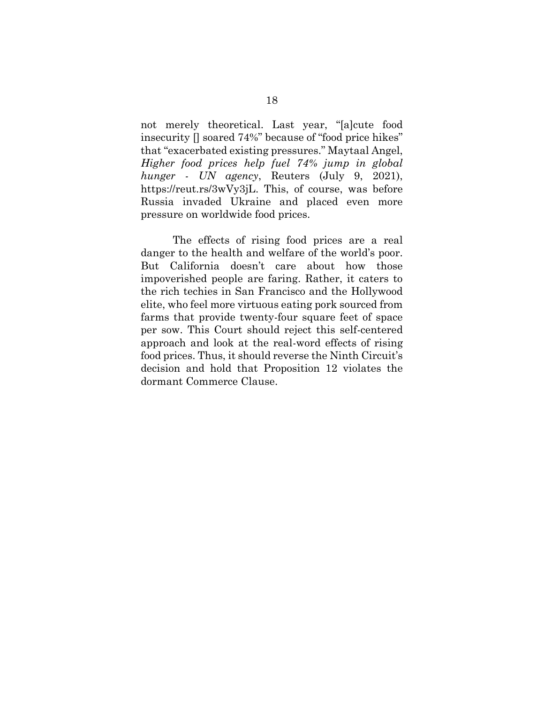<span id="page-25-0"></span>not merely theoretical. Last year, "[a]cute food insecurity [] soared 74%" because of "food price hikes" that "exacerbated existing pressures." Maytaal Angel, *Higher food prices help fuel 74% jump in global hunger - UN agency*, Reuters (July 9, 2021), https://reut.rs/3wVy3jL. This, of course, was before Russia invaded Ukraine and placed even more pressure on worldwide food prices.

The effects of rising food prices are a real danger to the health and welfare of the world's poor. But California doesn't care about how those impoverished people are faring. Rather, it caters to the rich techies in San Francisco and the Hollywood elite, who feel more virtuous eating pork sourced from farms that provide twenty-four square feet of space per sow. This Court should reject this self-centered approach and look at the real-word effects of rising food prices. Thus, it should reverse the Ninth Circuit's decision and hold that Proposition 12 violates the dormant Commerce Clause.